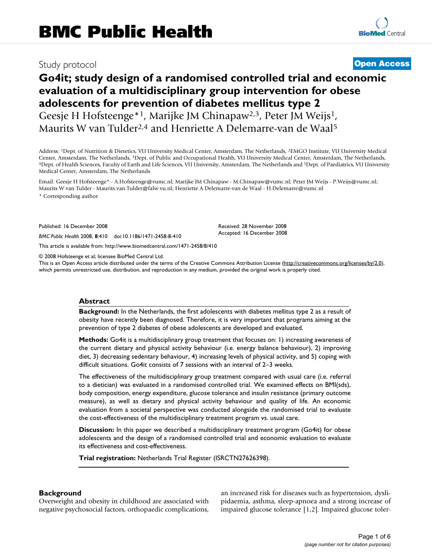# Study protocol **[Open Access](http://www.biomedcentral.com/info/about/charter/)**

# **Go4it; study design of a randomised controlled trial and economic evaluation of a multidisciplinary group intervention for obese adolescents for prevention of diabetes mellitus type 2** Geesje H Hofsteenge\*1, Marijke JM Chinapaw2,3, Peter JM Weijs1,

Maurits W van Tulder<sup>2,4</sup> and Henriette A Delemarre-van de Waal<sup>5</sup>

Address: 1Dept. of Nutrition & Dietetics, VU University Medical Center, Amsterdam, The Netherlands, 2EMGO Institute, VU University Medical Center, Amsterdam, The Netherlands, <sup>3</sup>Dept. of Public and Occupational Health, VU University Medical Center, Amsterdam, The Netherlands,<br><sup>4</sup>Dept. of Health Sciences, Faculty of Earth and Life Sciences, VU University, Amst Medical Center, Amsterdam, The Netherlands

Email: Geesje H Hofsteenge\* - A.Hofsteenge@vumc.nl; Marijke JM Chinapaw - M.Chinapaw@vumc.nl; Peter JM Weijs - P.Weijs@vumc.nl; Maurits W van Tulder - Maurits.van.Tulder@falw.vu.nl; Henriette A Delemarre-van de Waal - H.Delemarre@vumc.nl

\* Corresponding author

Published: 16 December 2008

*BMC Public Health* 2008, **8**:410 doi:10.1186/1471-2458-8-410

[This article is available from: http://www.biomedcentral.com/1471-2458/8/410](http://www.biomedcentral.com/1471-2458/8/410)

© 2008 Hofsteenge et al; licensee BioMed Central Ltd.

This is an Open Access article distributed under the terms of the Creative Commons Attribution License [\(http://creativecommons.org/licenses/by/2.0\)](http://creativecommons.org/licenses/by/2.0), which permits unrestricted use, distribution, and reproduction in any medium, provided the original work is properly cited.

Received: 28 November 2008 Accepted: 16 December 2008

### **Abstract**

**Background:** In the Netherlands, the first adolescents with diabetes mellitus type 2 as a result of obesity have recently been diagnosed. Therefore, it is very important that programs aiming at the prevention of type 2 diabetes of obese adolescents are developed and evaluated.

**Methods:** Go4it is a multidisciplinary group treatment that focuses on: 1) increasing awareness of the current dietary and physical activity behaviour (i.e. energy balance behaviour), 2) improving diet, 3) decreasing sedentary behaviour, 4) increasing levels of physical activity, and 5) coping with difficult situations. Go4it consists of 7 sessions with an interval of 2–3 weeks.

The effectiveness of the multidisciplinary group treatment compared with usual care (i.e. referral to a dietician) was evaluated in a randomised controlled trial. We examined effects on BMI(sds), body composition, energy expenditure, glucose tolerance and insulin resistance (primary outcome measure), as well as dietary and physical activity behaviour and quality of life. An economic evaluation from a societal perspective was conducted alongside the randomised trial to evaluate the cost-effectiveness of the multidisciplinary treatment program vs. usual care.

**Discussion:** In this paper we described a multidisciplinary treatment program (Go4it) for obese adolescents and the design of a randomised controlled trial and economic evaluation to evaluate its effectiveness and cost-effectiveness.

**Trial registration:** Netherlands Trial Register (ISRCTN27626398).

# **Background**

Overweight and obesity in childhood are associated with negative psychosocial factors, orthopaedic complications, an increased risk for diseases such as hypertension, dyslipidaemia, asthma, sleep-apnoea and a strong increase of impaired glucose tolerance [1,2]. Impaired glucose toler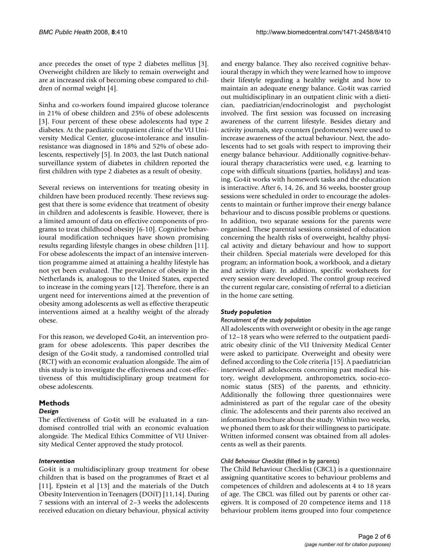ance precedes the onset of type 2 diabetes mellitus [3]. Overweight children are likely to remain overweight and are at increased risk of becoming obese compared to children of normal weight [4].

Sinha and co-workers found impaired glucose tolerance in 21% of obese children and 25% of obese adolescents [3]. Four percent of these obese adolescents had type 2 diabetes. At the paediatric outpatient clinic of the VU University Medical Center, glucose-intolerance and insulinresistance was diagnosed in 18% and 52% of obese adolescents, respectively [5]. In 2003, the last Dutch national surveillance system of diabetes in children reported the first children with type 2 diabetes as a result of obesity.

Several reviews on interventions for treating obesity in children have been produced recently. These reviews suggest that there is some evidence that treatment of obesity in children and adolescents is feasible. However, there is a limited amount of data on effective components of programs to treat childhood obesity [6-10]. Cognitive behavioural modification techniques have shown promising results regarding lifestyle changes in obese children [11]. For obese adolescents the impact of an intensive intervention programme aimed at attaining a healthy lifestyle has not yet been evaluated. The prevalence of obesity in the Netherlands is, analogous to the United States, expected to increase in the coming years [12]. Therefore, there is an urgent need for interventions aimed at the prevention of obesity among adolescents as well as effective therapeutic interventions aimed at a healthy weight of the already obese.

For this reason, we developed Go4it, an intervention program for obese adolescents. This paper describes the design of the Go4it study, a randomised controlled trial (RCT) with an economic evaluation alongside. The aim of this study is to investigate the effectiveness and cost-effectiveness of this multidisciplinary group treatment for obese adolescents.

# **Methods**

# *Design*

The effectiveness of Go4it will be evaluated in a randomised controlled trial with an economic evaluation alongside. The Medical Ethics Committee of VU University Medical Center approved the study protocol.

# *Intervention*

Go4it is a multidisciplinary group treatment for obese children that is based on the programmes of Braet et al [11], Epstein et al [13] and the materials of the Dutch Obesity Intervention in Teenagers (DOiT) [11,14]. During 7 sessions with an interval of 2–3 weeks the adolescents received education on dietary behaviour, physical activity

and energy balance. They also received cognitive behavioural therapy in which they were learned how to improve their lifestyle regarding a healthy weight and how to maintain an adequate energy balance. Go4it was carried out multidisciplinary in an outpatient clinic with a dietician, paediatrician/endocrinologist and psychologist involved. The first session was focussed on increasing awareness of the current lifestyle. Besides dietary and activity journals, step counters (pedometers) were used to increase awareness of the actual behaviour. Next, the adolescents had to set goals with respect to improving their energy balance behaviour. Additionally cognitive-behavioural therapy characteristics were used, e.g. learning to cope with difficult situations (parties, holidays) and teasing. Go4it works with homework tasks and the education is interactive. After 6, 14, 26, and 36 weeks, booster group sessions were scheduled in order to encourage the adolescents to maintain or further improve their energy balance behaviour and to discuss possible problems or questions. In addition, two separate sessions for the parents were organised. These parental sessions consisted of education concerning the health risks of overweight, healthy physical activity and dietary behaviour and how to support their children. Special materials were developed for this program; an information book, a workbook, and a dietary and activity diary. In addition, specific worksheets for every session were developed. The control group received the current regular care, consisting of referral to a dietician in the home care setting.

# *Study population*

#### *Recruitment of the study population*

All adolescents with overweight or obesity in the age range of 12–18 years who were referred to the outpatient paediatric obesity clinic of the VU University Medical Center were asked to participate. Overweight and obesity were defined according to the Cole criteria [15]. A paediatrician interviewed all adolescents concerning past medical history, weight development, anthropometrics, socio-economic status (SES) of the parents, and ethnicity. Additionally the following three questionnaires were administered as part of the regular care of the obesity clinic. The adolescents and their parents also received an information brochure about the study. Within two weeks, we phoned them to ask for their willingness to participate. Written informed consent was obtained from all adolescents as well as their parents.

# *Child Behaviour Checklist* (filled in by parents)

The Child Behaviour Checklist (CBCL) is a questionnaire assigning quantitative scores to behaviour problems and competences of children and adolescents at 4 to 18 years of age. The CBCL was filled out by parents or other caregivers. It is composed of 20 competence items and 118 behaviour problem items grouped into four competence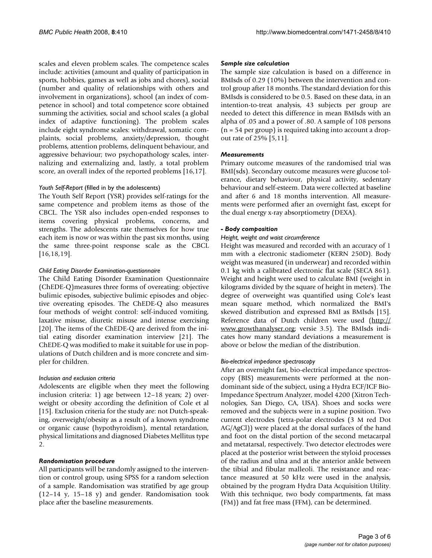scales and eleven problem scales. The competence scales include: activities (amount and quality of participation in sports, hobbies, games as well as jobs and chores), social (number and quality of relationships with others and involvement in organizations), school (an index of competence in school) and total competence score obtained summing the activities, social and school scales (a global index of adaptive functioning). The problem scales include eight syndrome scales: withdrawal, somatic complaints, social problems, anxiety/depression, thought problems, attention problems, delinquent behaviour, and aggressive behaviour; two psychopathology scales, internalizing and externalizing and, lastly, a total problem score, an overall index of the reported problems [16,17].

# *Youth Self-Report* (filled in by the adolescents)

The Youth Self Report (YSR) provides self-ratings for the same competence and problem items as those of the CBCL. The YSR also includes open-ended responses to items covering physical problems, concerns, and strengths. The adolescents rate themselves for how true each item is now or was within the past six months, using the same three-point response scale as the CBCL [16,18,19].

# *Child Eating Disorder Examination-questionnaire*

The Child Eating Disorder Examination Questionnaire (ChEDE-Q)measures three forms of overeating: objective bulimic episodes, subjective bulimic episodes and objective overeating episodes. The ChEDE-Q also measures four methods of weight control: self-induced vomiting, laxative misuse, diuretic misuse and intense exercising [20]. The items of the ChEDE-Q are derived from the initial eating disorder examination interview [21]. The ChEDE-Q was modified to make it suitable for use in populations of Dutch children and is more concrete and simpler for children.

#### *Inclusion and exclusion criteria*

Adolescents are eligible when they meet the following inclusion criteria: 1) age between 12–18 years; 2) overweight or obesity according the definition of Cole et al [15]. Exclusion criteria for the study are: not Dutch-speaking, overweight/obesity as a result of a known syndrome or organic cause (hypothyroidism), mental retardation, physical limitations and diagnosed Diabetes Mellitus type  $\mathcal{L}$ 

# *Randomisation procedure*

All participants will be randomly assigned to the intervention or control group, using SPSS for a random selection of a sample. Randomisation was stratified by age group (12–14 y, 15–18 y) and gender. Randomisation took place after the baseline measurements.

### *Sample size calculation*

The sample size calculation is based on a difference in BMIsds of 0.29 (10%) between the intervention and control group after 18 months. The standard deviation for this BMIsds is considered to be 0.5. Based on these data, in an intention-to-treat analysis, 43 subjects per group are needed to detect this difference in mean BMIsds with an alpha of .05 and a power of .80. A sample of 108 persons  $(n = 54$  per group) is required taking into account a dropout rate of 25% [5,11].

# *Measurements*

Primary outcome measures of the randomised trial was BMI(sds). Secondary outcome measures were glucose tolerance, dietary behaviour, physical activity, sedentary behaviour and self-esteem. Data were collected at baseline and after 6 and 18 months intervention. All measurements were performed after an overnight fast, except for the dual energy x-ray absorptiometry (DEXA).

# *- Body composition*

# *Height, weight and waist circumference*

Height was measured and recorded with an accuracy of 1 mm with a electronic stadiometer (KERN 250D). Body weight was measured (in underwear) and recorded within 0.1 kg with a calibrated electronic flat scale (SECA 861). Weight and height were used to calculate BMI (weight in kilograms divided by the square of height in meters). The degree of overweight was quantified using Cole's least mean square method, which normalized the BMI's skewed distribution and expressed BMI as BMIsds [15]. Reference data of Dutch children were used ([http://](http://www.growthanalyser.org) [www.growthanalyser.org;](http://www.growthanalyser.org) versie 3.5). The BMIsds indicates how many standard deviations a measurement is above or below the median of the distribution.

# *Bio-electrical impedance spectroscopy*

After an overnight fast, bio-electrical impedance spectroscopy (BIS) measurements were performed at the nondominant side of the subject, using a Hydra ECF/ICF Bio-Impedance Spectrum Analyzer, model 4200 (Xitron Technologies, San Diego, CA, USA). Shoes and socks were removed and the subjects were in a supine position. Two current electrodes (tetra-polar electrodes (3 M red Dot AG/AgCl)) were placed at the dorsal surfaces of the hand and foot on the distal portion of the second metacarpal and metatarsal, respectively. Two detector electrodes were placed at the posterior wrist between the styloid processes of the radius and ulna and at the anterior ankle between the tibial and fibular malleoli. The resistance and reactance measured at 50 kHz were used in the analysis, obtained by the program Hydra Data Acquisition Utility. With this technique, two body compartments, fat mass (FM)) and fat free mass (FFM), can be determined.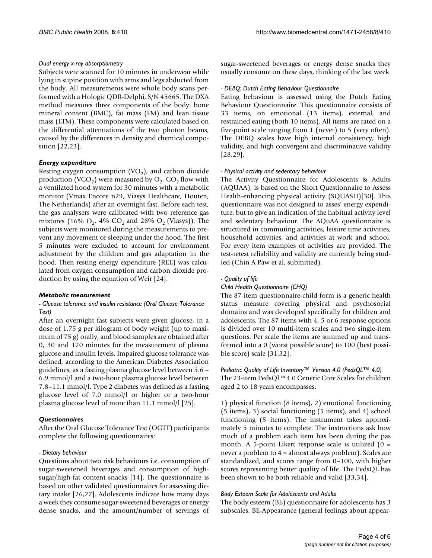### *Dual energy x-ray absorptiometry*

Subjects were scanned for 10 minutes in underwear while lying in supine position with arms and legs abducted from the body. All measurements were whole body scans performed with a Hologic QDR-Delphi, S/N 45665. The DXA method measures three components of the body: bone mineral content (BMC), fat mass (FM) and lean tissue mass (LTM). These components were calculated based on the differential attenuations of the two photon beams, caused by the differences in density and chemical composition [22,23].

#### *Energy expenditure*

Resting oxygen consumption  $(VO<sub>2</sub>)$ , and carbon dioxide production (VCO<sub>2</sub>) were measured by  $O_2$ , CO<sub>2</sub> flow with a ventilated hood system for 30 minutes with a metabolic monitor (Vmax Encore n29, Viasys Healthcare, Houten, The Netherlands) after an overnight fast. Before each test, the gas analysers were calibrated with two reference gas mixtures (16%  $O_2$ , 4%  $CO_2$  and 26%  $O_2$  (Viasys)). The subjects were monitored during the measurements to prevent any movement or sleeping under the hood. The first 5 minutes were excluded to account for environment adjustment by the children and gas adaptation in the hood. Then resting energy expenditure (REE) was calculated from oxygen consumption and carbon dioxide production by using the equation of Weir [24].

#### *Metabolic measurement*

#### *- Glucose tolerance and insulin resistance (Oral Glucose Tolerance Test)*

After an overnight fast subjects were given glucose, in a dose of 1.75 g per kilogram of body weight (up to maximum of 75 g) orally, and blood samples are obtained after 0, 30 and 120 minutes for the measurement of plasma glucose and insulin levels. Impaired glucose tolerance was defined, according to the American Diabetes Association guidelines, as a fasting plasma glucose level between 5.6 – 6.9 mmol/l and a two-hour plasma glucose level between 7.8–11.1 mmol/l. Type 2 diabetes was defined as a fasting glucose level of 7.0 mmol/l or higher or a two-hour plasma glucose level of more than 11.1 mmol/l [25].

#### *Questionnaires*

After the Oral Glucose Tolerance Test (OGTT) participants complete the following questionnaires:

#### *- Dietary behaviour*

Questions about two risk behaviours i.e. consumption of sugar-sweetened beverages and consumption of highsugar/high-fat content snacks [14]. The questionnaire is based on other validated questionnaires for assessing dietary intake [26,27]. Adolescents indicate how many days a week they consume sugar-sweetened beverages or energy dense snacks, and the amount/number of servings of sugar-sweetened beverages or energy dense snacks they usually consume on these days, thinking of the last week.

#### *- DEBQ: Dutch Eating Behaviour Questionnaire*

Eating behaviour is assessed using the Dutch Eating Behaviour Questionnaire. This questionnaire consists of 33 items, on emotional (13 items), external, and restrained eating (both 10 items). All items are rated on a five-point scale ranging from 1 (never) to 5 (very often). The DEBQ scales have high internal consistency, high validity, and high convergent and discriminative validity [28,29].

#### *- Physical activity and sedentary behaviour*

The Activity Questionnaire for Adolescents & Adults (AQUAA), is based on the Short Questionnaire to Assess Health-enhancing physical activity (SQUASH)[30]. This questionnaire was not designed to asses' energy expenditure, but to give an indication of the habitual activity level and sedentary behaviour. The AQuAA questionnaire is structured in commuting activities, leisure time activities, household activities, and activities at work and school. For every item examples of activities are provided. The test-retest reliability and validity are currently being studied (Chin A Paw et al, submitted).

#### *- Quality of life*

#### *Child Health Questionnaire (CHQ)*

The 87-item questionnaire-child form is a generic health status measure covering physical and psychosocial domains and was developed specifically for children and adolescents. The 87 items with 4, 5 or 6 response options is divided over 10 multi-item scales and two single-item questions. Per scale the items are summed up and transformed into a 0 (worst possible score) to 100 (best possible score) scale [31,32].

### *Pediatric Quality of Life Inventory™ Version 4.0 (PedsQL™ 4.0)* The 23-item PedsQl ™ 4.0 Generic Core Scales for children aged 2 to 18 years encompasses:

1) physical function (8 items), 2) emotional functioning (5 items), 3) social functioning (5 items), and 4) school functioning (5 items). The instrument takes approximately 5 minutes to complete. The instructions ask how much of a problem each item has been during the pas month. A 5-point Likert response scale is utilized  $(0 =$ never a problem to 4 = almost always problem). Scales are standardized, and scores range from 0–100, with higher scores representing better quality of life. The PedsQL has been shown to be both reliable and valid [33,34].

#### *Body Esteem Scale for Adolescents and Adults*

The body esteem (BE) questionnaire for adolescents has 3 subscales: BE-Appearance (general feelings about appear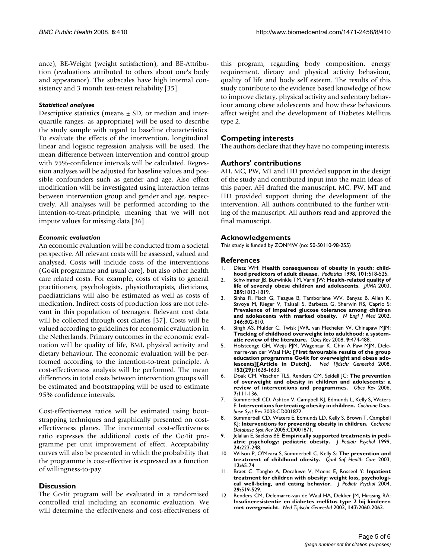ance), BE-Weight (weight satisfaction), and BE-Attribution (evaluations attributed to others about one's body and appearance). The subscales have high internal consistency and 3 month test-retest reliability [35].

### *Statistical analyses*

Descriptive statistics (means  $\pm$  SD, or median and interquartile ranges, as appropriate) will be used to describe the study sample with regard to baseline characteristics. To evaluate the effects of the intervention, longitudinal linear and logistic regression analysis will be used. The mean difference between intervention and control group with 95%-confidence intervals will be calculated. Regression analyses will be adjusted for baseline values and possible confounders such as gender and age. Also effect modification will be investigated using interaction terms between intervention group and gender and age, respectively. All analyses will be performed according to the intention-to-treat-principle, meaning that we will not impute values for missing data [36].

#### *Economic evaluation*

An economic evaluation will be conducted from a societal perspective. All relevant costs will be assessed, valued and analysed. Costs will include costs of the interventions (Go4it programme and usual care), but also other health care related costs. For example, costs of visits to general practitioners, psychologists, physiotherapists, dieticians, paediatricians will also be estimated as well as costs of medication. Indirect costs of production loss are not relevant in this population of teenagers. Relevant cost data will be collected through cost diaries [37]. Costs will be valued according to guidelines for economic evaluation in the Netherlands. Primary outcomes in the economic evaluation will be quality of life, BMI, physical activity and dietary behaviour. The economic evaluation will be performed according to the intention-to-treat principle. A cost-effectiveness analysis will be performed. The mean differences in total costs between intervention groups will be estimated and bootstrapping will be used to estimate 95% confidence intervals.

Cost-effectiveness ratios will be estimated using bootstrapping techniques and graphically presented on costeffectiveness planes. The incremental cost-effectiveness ratio expresses the additional costs of the Go4it programme per unit improvement of effect. Acceptability curves will also be presented in which the probability that the programme is cost-effective is expressed as a function of willingness-to-pay.

# **Discussion**

The Go4it program will be evaluated in a randomised controlled trial including an economic evaluation. We will determine the effectiveness and cost-effectiveness of this program, regarding body composition, energy requirement, dietary and physical activity behaviour, quality of life and body self esteem. The results of this study contribute to the evidence based knowledge of how to improve dietary, physical activity and sedentary behaviour among obese adolescents and how these behaviours affect weight and the development of Diabetes Mellitus type 2.

# **Competing interests**

The authors declare that they have no competing interests.

# **Authors' contributions**

AH, MC, PW, MT and HD provided support in the design of the study and contributed input into the main ideas of this paper. AH drafted the manuscript. MC, PW, MT and HD provided support during the development of the intervention. All authors contributed to the further writing of the manuscript. All authors read and approved the final manuscript.

# **Acknowledgements**

This study is funded by ZONMW (no: 50-50110-98-255)

#### **References**

- 1. Dietz WH: **[Health consequences of obesity in youth: child](http://www.ncbi.nlm.nih.gov/entrez/query.fcgi?cmd=Retrieve&db=PubMed&dopt=Abstract&list_uids=12224658)[hood predictors of adult disease.](http://www.ncbi.nlm.nih.gov/entrez/query.fcgi?cmd=Retrieve&db=PubMed&dopt=Abstract&list_uids=12224658)** *Pediatrics* 1998, **101:**518-525.
- 2. Schwimmer JB, Burwinkle TM, Varni JW: **[Health-related quality of](http://www.ncbi.nlm.nih.gov/entrez/query.fcgi?cmd=Retrieve&db=PubMed&dopt=Abstract&list_uids=12684360) [life of severely obese children and adolescents.](http://www.ncbi.nlm.nih.gov/entrez/query.fcgi?cmd=Retrieve&db=PubMed&dopt=Abstract&list_uids=12684360)** *JAMA* 2003, **289:**1813-1819.
- 3. Sinha R, Fisch G, Teague B, Tamborlane WV, Banyas B, Allen K, Savoye M, Rieger V, Taksali S, Barbetta G, Sherwin RS, Caprio S: **[Prevalence of impaired glucose tolerance among children](http://www.ncbi.nlm.nih.gov/entrez/query.fcgi?cmd=Retrieve&db=PubMed&dopt=Abstract&list_uids=11893791) [and adolescents with marked obesity.](http://www.ncbi.nlm.nih.gov/entrez/query.fcgi?cmd=Retrieve&db=PubMed&dopt=Abstract&list_uids=11893791)** *N Engl J Med* 2002, **346:**802-810.
- 4. Singh AS, Mulder C, Twisk JWR, van Mechelen W, Chinapaw MJM: **[Tracking of childhood overweight into adulthood: a system](http://www.ncbi.nlm.nih.gov/entrez/query.fcgi?cmd=Retrieve&db=PubMed&dopt=Abstract&list_uids=18331423)[atic review of the literature.](http://www.ncbi.nlm.nih.gov/entrez/query.fcgi?cmd=Retrieve&db=PubMed&dopt=Abstract&list_uids=18331423)** *Obes Rev* 2008, **9:**474-488.
- 5. Hofsteenge GH, Weijs PJM, Wagenaar K, Chin A Paw MJM, Delemarre-van der Waal HA: **[\[First favourable results of the group](http://www.ncbi.nlm.nih.gov/entrez/query.fcgi?cmd=Retrieve&db=PubMed&dopt=Abstract&list_uids=18998271)** education programme Go4it for overweight and obese ado-<br>lescents][Article in Dutch]. Ned Tijdschr Geneeskd 2008,  $lescents$ <sup>[Article in Dutch].</sup> **152(29):**1628-1633.
- 6. Doak CM, Visscher TLS, Renders CM, Seidell JC: **[The prevention](http://www.ncbi.nlm.nih.gov/entrez/query.fcgi?cmd=Retrieve&db=PubMed&dopt=Abstract&list_uids=16436107) [of overweight and obesity in children and adolescents: a](http://www.ncbi.nlm.nih.gov/entrez/query.fcgi?cmd=Retrieve&db=PubMed&dopt=Abstract&list_uids=16436107) [review of interventions and programmes.](http://www.ncbi.nlm.nih.gov/entrez/query.fcgi?cmd=Retrieve&db=PubMed&dopt=Abstract&list_uids=16436107)** *Obes Rev* 2006, **7:**111-136.
- 7. Summerbell CD, Ashton V, Campbell KJ, Edmunds L, Kelly S, Waters E: **[Interventions for treating obesity in children.](http://www.ncbi.nlm.nih.gov/entrez/query.fcgi?cmd=Retrieve&db=PubMed&dopt=Abstract&list_uids=12917914)** *Cochrane Database Syst Rev* 2003:CD001872.
- 8. Summerbell CD, Waters E, Edmunds LD, Kelly S, Brown T, Campbell KJ: **[Interventions for preventing obesity in children.](http://www.ncbi.nlm.nih.gov/entrez/query.fcgi?cmd=Retrieve&db=PubMed&dopt=Abstract&list_uids=16034868)** *Cochrane Database Syst Rev* 2005:CD001871.
- 9. Jelalian E, Saelens BE: **[Empirically supported treatments in pedi](http://www.ncbi.nlm.nih.gov/entrez/query.fcgi?cmd=Retrieve&db=PubMed&dopt=Abstract&list_uids=10379137)[atric psychology: pediatric obesity.](http://www.ncbi.nlm.nih.gov/entrez/query.fcgi?cmd=Retrieve&db=PubMed&dopt=Abstract&list_uids=10379137)** *J Pediatr Psychol* 1999, **24:**223-248.
- 10. Wilson P, O'Meara S, Summerbell C, Kelly S: **[The prevention and](http://www.ncbi.nlm.nih.gov/entrez/query.fcgi?cmd=Retrieve&db=PubMed&dopt=Abstract&list_uids=12571349) [treatment of childhood obesity.](http://www.ncbi.nlm.nih.gov/entrez/query.fcgi?cmd=Retrieve&db=PubMed&dopt=Abstract&list_uids=12571349)** *Qual Saf Health Care* 2003, **12:**65-74.
- 11. Braet C, Tanghe A, Decaluwe V, Moens E, Rosseel Y: **[Inpatient](http://www.ncbi.nlm.nih.gov/entrez/query.fcgi?cmd=Retrieve&db=PubMed&dopt=Abstract&list_uids=15347700) [treatment for children with obesity: weight loss, psychologi](http://www.ncbi.nlm.nih.gov/entrez/query.fcgi?cmd=Retrieve&db=PubMed&dopt=Abstract&list_uids=15347700)[cal well-being, and eating behavior.](http://www.ncbi.nlm.nih.gov/entrez/query.fcgi?cmd=Retrieve&db=PubMed&dopt=Abstract&list_uids=15347700)** *J Pediatr Psychol* 2004, **29:**519-529.
- 12. Renders CM, Delemarre-van de Waal HA, Dekker JM, Hirasing RA: **[Insulineresistentie en diabetes mellitus type 2 bij kinderen](http://www.ncbi.nlm.nih.gov/entrez/query.fcgi?cmd=Retrieve&db=PubMed&dopt=Abstract&list_uids=14606353) [met overgewicht.](http://www.ncbi.nlm.nih.gov/entrez/query.fcgi?cmd=Retrieve&db=PubMed&dopt=Abstract&list_uids=14606353)** *Ned Tijdschr Geneeskd* 2003, **147:**2060-2063.